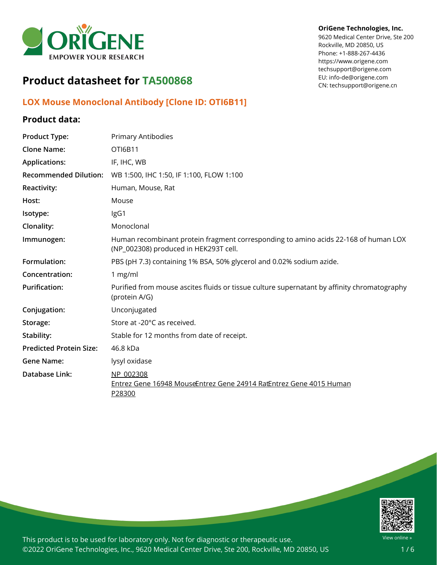

# **Product datasheet for TA500868**

## **LOX Mouse Monoclonal Antibody [Clone ID: OTI6B11]**

### **Product data:**

# **Product Type:** Primary Antibodies **Clone Name:** OTI6B11 **Applications:** IF, IHC, WB **Recommended Dilution:** WB 1:500, IHC 1:50, IF 1:100, FLOW 1:100 **Reactivity:** Human, Mouse, Rat Host: Mouse **Isotype:** IgG1 **Clonality:** Monoclonal **Immunogen:** Human recombinant protein fragment corresponding to amino acids 22-168 of human LOX (NP\_002308) produced in HEK293T cell. **Formulation:** PBS (pH 7.3) containing 1% BSA, 50% glycerol and 0.02% sodium azide. **Concentration:** 1 mg/ml **Purification:** Purified from mouse ascites fluids or tissue culture supernatant by affinity chromatography (protein A/G) **Conjugation:** Unconjugated Storage: Store at -20°C as received. **Stability:** Stable for 12 months from date of receipt. **Predicted Protein Size:** 46.8 kDa **Gene Name:** lysyl oxidase **Database Link:** [NP\\_002308](https://www.ncbi.nlm.nih.gov/protein/NP_002308) Entrez Gene 16948 [Mouse](https://www.ncbi.nlm.nih.gov/gene?cmd=Retrieve&dopt=Graphics&list_uids=16948)[Entrez](https://www.ncbi.nlm.nih.gov/gene?cmd=Retrieve&dopt=Graphics&list_uids=24914) Gene 24914 RatEntrez Gene 4015 [Human](https://www.ncbi.nlm.nih.gov/gene?cmd=Retrieve&dopt=Graphics&list_uids=4015) [P28300](https://www.uniprot.org/uniprot/P28300)



This product is to be used for laboratory only. Not for diagnostic or therapeutic use. ©2022 OriGene Technologies, Inc., 9620 Medical Center Drive, Ste 200, Rockville, MD 20850, US

#### **OriGene Technologies, Inc.**

9620 Medical Center Drive, Ste 200 Rockville, MD 20850, US Phone: +1-888-267-4436 https://www.origene.com techsupport@origene.com EU: info-de@origene.com CN: techsupport@origene.cn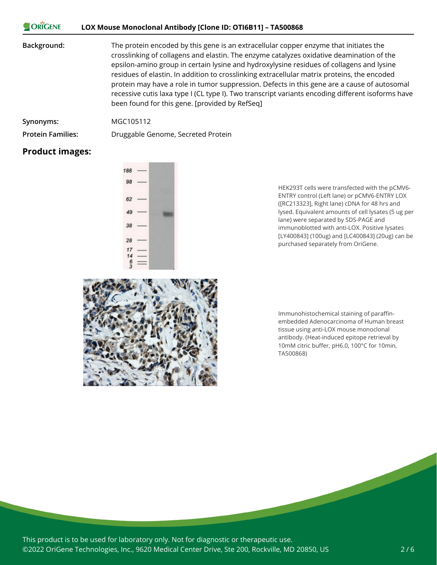#### ORIGENE **LOX Mouse Monoclonal Antibody [Clone ID: OTI6B11] – TA500868**

#### **Background:** The protein encoded by this gene is an extracellular copper enzyme that initiates the crosslinking of collagens and elastin. The enzyme catalyzes oxidative deamination of the epsilon-amino group in certain lysine and hydroxylysine residues of collagens and lysine residues of elastin. In addition to crosslinking extracellular matrix proteins, the encoded protein may have a role in tumor suppression. Defects in this gene are a cause of autosomal recessive cutis laxa type I (CL type I). Two transcript variants encoding different isoforms have been found for this gene. [provided by RefSeq]

| Synonyms: | MGC105112 |
|-----------|-----------|
|           |           |

**Protein Families:** Druggable Genome, Secreted Protein

### **Product images:**



HEK293T cells were transfected with the pCMV6- ENTRY control (Left lane) or pCMV6-ENTRY LOX ([RC213323], Right lane) cDNA for 48 hrs and lysed. Equivalent amounts of cell lysates (5 ug per lane) were separated by SDS-PAGE and immunoblotted with anti-LOX. Positive lysates [LY400843] (100ug) and [LC400843] (20ug) can be purchased separately from OriGene.



Immunohistochemical staining of paraffinembedded Adenocarcinoma of Human breast tissue using anti-LOX mouse monoclonal antibody. (Heat-induced epitope retrieval by 10mM citric buffer, pH6.0, 100°C for 10min, TA500868)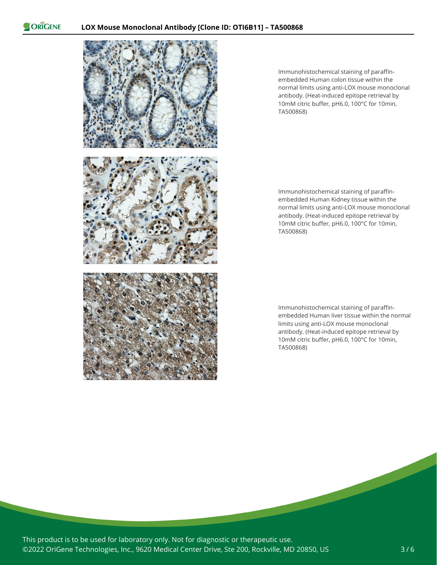

Immunohistochemical staining of paraffinembedded Human colon tissue within the normal limits using anti-LOX mouse monoclonal antibody. (Heat-induced epitope retrieval by 10mM citric buffer, pH6.0, 100°C for 10min, TA500868)

Immunohistochemical staining of paraffinembedded Human Kidney tissue within the normal limits using anti-LOX mouse monoclonal antibody. (Heat-induced epitope retrieval by 10mM citric buffer, pH6.0, 100°C for 10min, TA500868)

Immunohistochemical staining of paraffinembedded Human liver tissue within the normal limits using anti-LOX mouse monoclonal antibody. (Heat-induced epitope retrieval by 10mM citric buffer, pH6.0, 100°C for 10min, TA500868)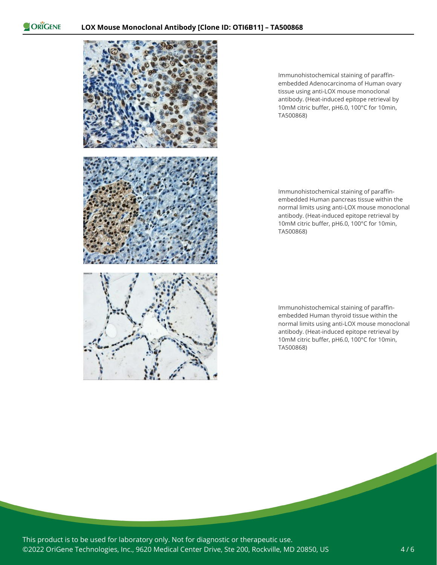

Immunohistochemical staining of paraffinembedded Adenocarcinoma of Human ovary tissue using anti-LOX mouse monoclonal antibody. (Heat-induced epitope retrieval by 10mM citric buffer, pH6.0, 100°C for 10min, TA500868)

Immunohistochemical staining of paraffinembedded Human pancreas tissue within the normal limits using anti-LOX mouse monoclonal antibody. (Heat-induced epitope retrieval by 10mM citric buffer, pH6.0, 100°C for 10min, TA500868)

Immunohistochemical staining of paraffinembedded Human thyroid tissue within the normal limits using anti-LOX mouse monoclonal antibody. (Heat-induced epitope retrieval by 10mM citric buffer, pH6.0, 100°C for 10min, TA500868)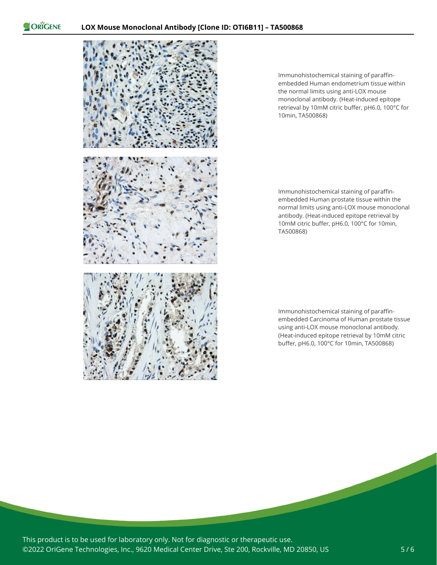

Immunohistochemical staining of paraffinembedded Human endometrium tissue within the normal limits using anti-LOX mouse monoclonal antibody. (Heat-induced epitope retrieval by 10mM citric buffer, pH6.0, 100°C for 10min, TA500868)

Immunohistochemical staining of paraffinembedded Human prostate tissue within the normal limits using anti-LOX mouse monoclonal antibody. (Heat-induced epitope retrieval by 10mM citric buffer, pH6.0, 100°C for 10min, TA500868)

Immunohistochemical staining of paraffinembedded Carcinoma of Human prostate tissue using anti-LOX mouse monoclonal antibody. (Heat-induced epitope retrieval by 10mM citric buffer, pH6.0, 100°C for 10min, TA500868)